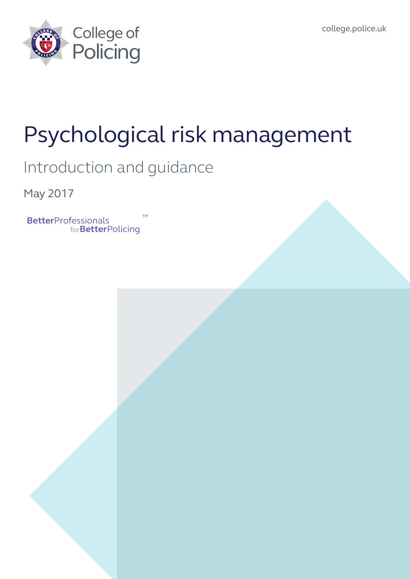

[college.police.uk](http://www.college.police.uk)

# Psychological risk management

# Introduction and guidance

May 2017

**Better**Professionals for**Better**Policing ™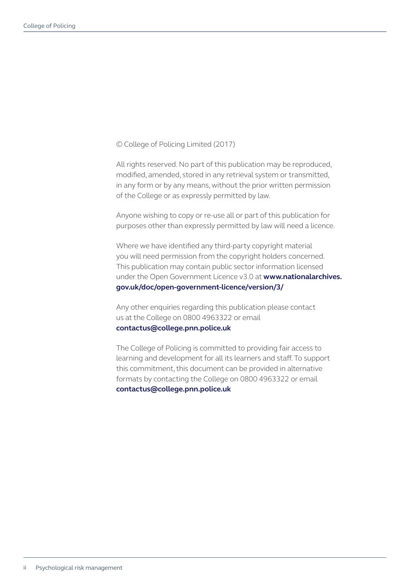© College of Policing Limited (2017)

All rights reserved. No part of this publication may be reproduced, modified, amended, stored in any retrieval system or transmitted, in any form or by any means, without the prior written permission of the College or as expressly permitted by law.

Anyone wishing to copy or re-use all or part of this publication for purposes other than expressly permitted by law will need a licence.

Where we have identified any third-party copyright material you will need permission from the copyright holders concerned. This publication may contain public sector information licensed under the Open Government Licence v3.0 at **[www.nationalarchives.](http://www.nationalarchives.gov.uk/doc/open-government-licence/version/3/) [gov.uk/doc/open-government-licence/version/3/](http://www.nationalarchives.gov.uk/doc/open-government-licence/version/3/)**

Any other enquiries regarding this publication please contact us at the College on 0800 4963322 or email **[contactus@college.pnn.police.uk](mailto:contactus%40college.pnn.police.uk?subject=)**

The College of Policing is committed to providing fair access to learning and development for all its learners and staff. To support this commitment, this document can be provided in alternative formats by contacting the College on 0800 4963322 or email **[contactus@college.pnn.police.uk](mailto:contactus%40college.pnn.police.uk?subject=)**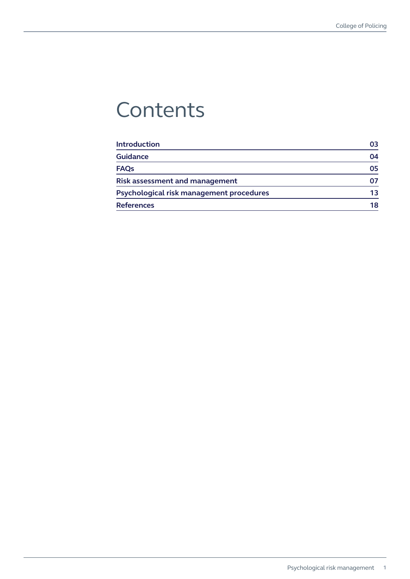# **Contents**

| <b>Introduction</b>                      | 03             |
|------------------------------------------|----------------|
| <b>Guidance</b>                          | 04             |
| <b>FAQs</b>                              | 05             |
| <b>Risk assessment and management</b>    | 07             |
| Psychological risk management procedures | 1 <sub>3</sub> |
| <b>References</b>                        | 18             |
|                                          |                |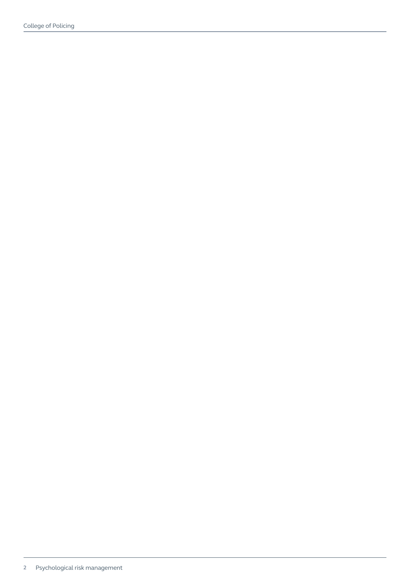College of Policing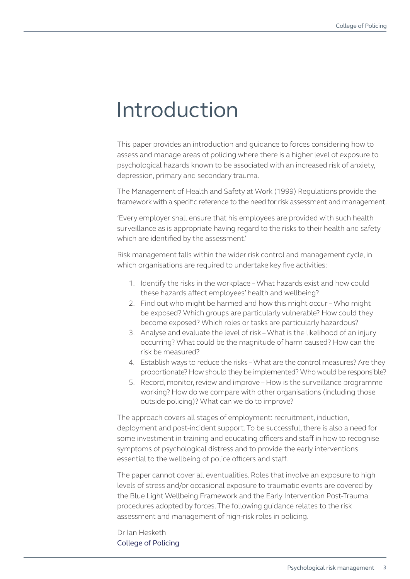# <span id="page-4-0"></span>Introduction

This paper provides an introduction and guidance to forces considering how to assess and manage areas of policing where there is a higher level of exposure to psychological hazards known to be associated with an increased risk of anxiety, depression, primary and secondary trauma.

The Management of Health and Safety at Work (1999) Regulations provide the framework with a specific reference to the need for risk assessment and management.

'Every employer shall ensure that his employees are provided with such health surveillance as is appropriate having regard to the risks to their health and safety which are identified by the assessment.'

Risk management falls within the wider risk control and management cycle, in which organisations are required to undertake key five activities:

- 1. Identify the risks in the workplace What hazards exist and how could these hazards affect employees' health and wellbeing?
- 2. Find out who might be harmed and how this might occur Who might be exposed? Which groups are particularly vulnerable? How could they become exposed? Which roles or tasks are particularly hazardous?
- 3. Analyse and evaluate the level of risk What is the likelihood of an injury occurring? What could be the magnitude of harm caused? How can the risk be measured?
- 4. Establish ways to reduce the risks What are the control measures? Are they proportionate? How should they be implemented? Who would be responsible?
- 5. Record, monitor, review and improve How is the surveillance programme working? How do we compare with other organisations (including those outside policing)? What can we do to improve?

The approach covers all stages of employment: recruitment, induction, deployment and post-incident support. To be successful, there is also a need for some investment in training and educating officers and staff in how to recognise symptoms of psychological distress and to provide the early interventions essential to the wellbeing of police officers and staff.

The paper cannot cover all eventualities. Roles that involve an exposure to high levels of stress and/or occasional exposure to traumatic events are covered by the Blue Light Wellbeing Framework and the Early Intervention Post-Trauma procedures adopted by forces. The following guidance relates to the risk assessment and management of high-risk roles in policing.

Dr Ian Hesketh College of Policing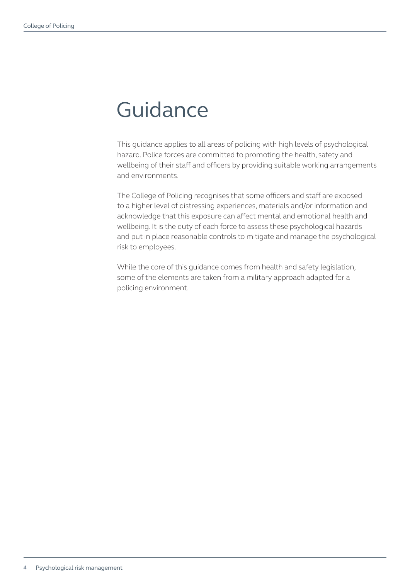# <span id="page-5-0"></span>Guidance

This guidance applies to all areas of policing with high levels of psychological hazard. Police forces are committed to promoting the health, safety and wellbeing of their staff and officers by providing suitable working arrangements and environments.

The College of Policing recognises that some officers and staff are exposed to a higher level of distressing experiences, materials and/or information and acknowledge that this exposure can affect mental and emotional health and wellbeing. It is the duty of each force to assess these psychological hazards and put in place reasonable controls to mitigate and manage the psychological risk to employees.

While the core of this guidance comes from health and safety legislation, some of the elements are taken from a military approach adapted for a policing environment.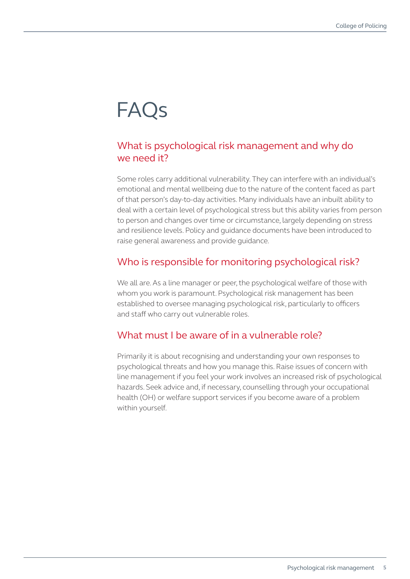# <span id="page-6-0"></span>FAQs

# What is psychological risk management and why do we need it?

Some roles carry additional vulnerability. They can interfere with an individual's emotional and mental wellbeing due to the nature of the content faced as part of that person's day-to-day activities. Many individuals have an inbuilt ability to deal with a certain level of psychological stress but this ability varies from person to person and changes over time or circumstance, largely depending on stress and resilience levels. Policy and guidance documents have been introduced to raise general awareness and provide guidance.

# Who is responsible for monitoring psychological risk?

We all are. As a line manager or peer, the psychological welfare of those with whom you work is paramount. Psychological risk management has been established to oversee managing psychological risk, particularly to officers and staff who carry out vulnerable roles.

# What must I be aware of in a vulnerable role?

Primarily it is about recognising and understanding your own responses to psychological threats and how you manage this. Raise issues of concern with line management if you feel your work involves an increased risk of psychological hazards. Seek advice and, if necessary, counselling through your occupational health (OH) or welfare support services if you become aware of a problem within yourself.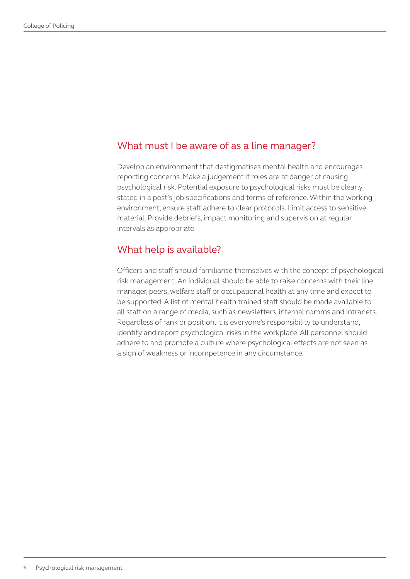### What must I be aware of as a line manager?

Develop an environment that destigmatises mental health and encourages reporting concerns. Make a judgement if roles are at danger of causing psychological risk. Potential exposure to psychological risks must be clearly stated in a post's job specifications and terms of reference. Within the working environment, ensure staff adhere to clear protocols. Limit access to sensitive material. Provide debriefs, impact monitoring and supervision at regular intervals as appropriate.

## What help is available?

Officers and staff should familiarise themselves with the concept of psychological risk management. An individual should be able to raise concerns with their line manager, peers, welfare staff or occupational health at any time and expect to be supported. A list of mental health trained staff should be made available to all staff on a range of media, such as newsletters, internal comms and intranets. Regardless of rank or position, it is everyone's responsibility to understand, identify and report psychological risks in the workplace. All personnel should adhere to and promote a culture where psychological effects are not seen as a sign of weakness or incompetence in any circumstance.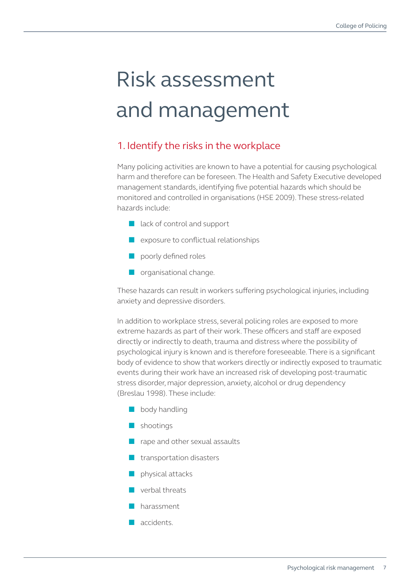# <span id="page-8-0"></span>Risk assessment and management

# 1. Identify the risks in the workplace

Many policing activities are known to have a potential for causing psychological harm and therefore can be foreseen. The Health and Safety Executive developed management standards, identifying five potential hazards which should be monitored and controlled in organisations (HSE 2009). These stress-related hazards include:

- lack of control and support
- exposure to conflictual relationships
- poorly defined roles
- organisational change.

These hazards can result in workers suffering psychological injuries, including anxiety and depressive disorders.

In addition to workplace stress, several policing roles are exposed to more extreme hazards as part of their work. These officers and staff are exposed directly or indirectly to death, trauma and distress where the possibility of psychological injury is known and is therefore foreseeable. There is a significant body of evidence to show that workers directly or indirectly exposed to traumatic events during their work have an increased risk of developing post-traumatic stress disorder, major depression, anxiety, alcohol or drug dependency (Breslau 1998). These include:

- body handling
- shootings
- rape and other sexual assaults
- transportation disasters
- physical attacks
- verbal threats
- harassment
- accidents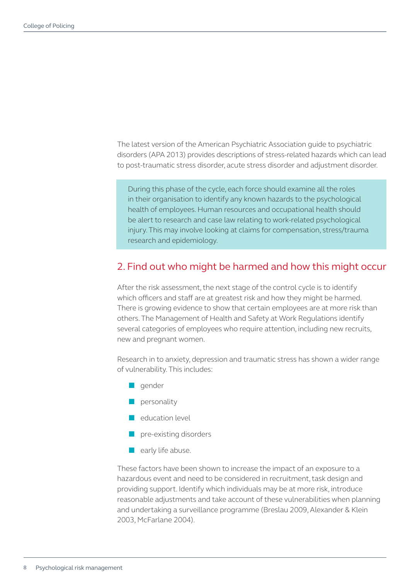The latest version of the American Psychiatric Association guide to psychiatric disorders (APA 2013) provides descriptions of stress-related hazards which can lead to post-traumatic stress disorder, acute stress disorder and adjustment disorder.

During this phase of the cycle, each force should examine all the roles in their organisation to identify any known hazards to the psychological health of employees. Human resources and occupational health should be alert to research and case law relating to work-related psychological injury. This may involve looking at claims for compensation, stress/trauma research and epidemiology.

#### 2. Find out who might be harmed and how this might occur

After the risk assessment, the next stage of the control cycle is to identify which officers and staff are at greatest risk and how they might be harmed. There is growing evidence to show that certain employees are at more risk than others. The Management of Health and Safety at Work Regulations identify several categories of employees who require attention, including new recruits, new and pregnant women.

Research in to anxiety, depression and traumatic stress has shown a wider range of vulnerability. This includes:

- gender
- personality
- education level
- pre-existing disorders
- early life abuse.

These factors have been shown to increase the impact of an exposure to a hazardous event and need to be considered in recruitment, task design and providing support. Identify which individuals may be at more risk, introduce reasonable adjustments and take account of these vulnerabilities when planning and undertaking a surveillance programme (Breslau 2009, Alexander & Klein 2003, McFarlane 2004).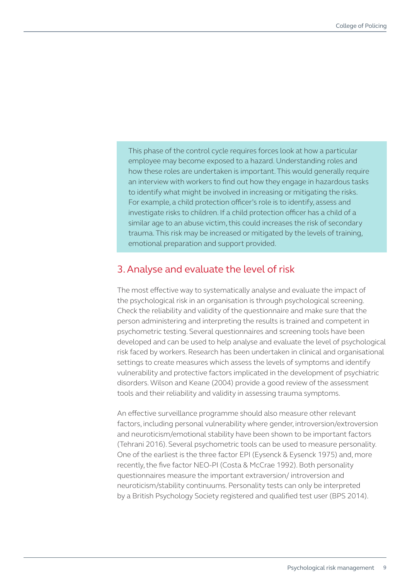This phase of the control cycle requires forces look at how a particular employee may become exposed to a hazard. Understanding roles and how these roles are undertaken is important. This would generally require an interview with workers to find out how they engage in hazardous tasks to identify what might be involved in increasing or mitigating the risks. For example, a child protection officer's role is to identify, assess and investigate risks to children. If a child protection officer has a child of a similar age to an abuse victim, this could increases the risk of secondary trauma. This risk may be increased or mitigated by the levels of training, emotional preparation and support provided.

### 3. Analyse and evaluate the level of risk

The most effective way to systematically analyse and evaluate the impact of the psychological risk in an organisation is through psychological screening. Check the reliability and validity of the questionnaire and make sure that the person administering and interpreting the results is trained and competent in psychometric testing. Several questionnaires and screening tools have been developed and can be used to help analyse and evaluate the level of psychological risk faced by workers. Research has been undertaken in clinical and organisational settings to create measures which assess the levels of symptoms and identify vulnerability and protective factors implicated in the development of psychiatric disorders. Wilson and Keane (2004) provide a good review of the assessment tools and their reliability and validity in assessing trauma symptoms.

An effective surveillance programme should also measure other relevant factors, including personal vulnerability where gender, introversion/extroversion and neuroticism/emotional stability have been shown to be important factors (Tehrani 2016). Several psychometric tools can be used to measure personality. One of the earliest is the three factor EPI (Eysenck & Eysenck 1975) and, more recently, the five factor NEO-PI (Costa & McCrae 1992). Both personality questionnaires measure the important extraversion/ introversion and neuroticism/stability continuums. Personality tests can only be interpreted by a British Psychology Society registered and qualified test user (BPS 2014).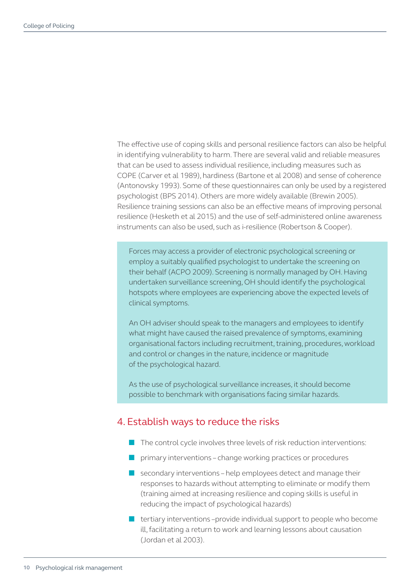The effective use of coping skills and personal resilience factors can also be helpful in identifying vulnerability to harm. There are several valid and reliable measures that can be used to assess individual resilience, including measures such as COPE (Carver et al 1989), hardiness (Bartone et al 2008) and sense of coherence (Antonovsky 1993). Some of these questionnaires can only be used by a registered psychologist (BPS 2014). Others are more widely available (Brewin 2005). Resilience training sessions can also be an effective means of improving personal resilience (Hesketh et al 2015) and the use of self-administered online awareness instruments can also be used, such as i-resilience (Robertson & Cooper).

Forces may access a provider of electronic psychological screening or employ a suitably qualified psychologist to undertake the screening on their behalf (ACPO 2009). Screening is normally managed by OH. Having undertaken surveillance screening, OH should identify the psychological hotspots where employees are experiencing above the expected levels of clinical symptoms.

An OH adviser should speak to the managers and employees to identify what might have caused the raised prevalence of symptoms, examining organisational factors including recruitment, training, procedures, workload and control or changes in the nature, incidence or magnitude of the psychological hazard.

As the use of psychological surveillance increases, it should become possible to benchmark with organisations facing similar hazards.

#### 4. Establish ways to reduce the risks

- The control cycle involves three levels of risk reduction interventions:
- $\blacksquare$  primary interventions change working practices or procedures
- secondary interventions help employees detect and manage their responses to hazards without attempting to eliminate or modify them (training aimed at increasing resilience and coping skills is useful in reducing the impact of psychological hazards)
- tertiary interventions-provide individual support to people who become ill, facilitating a return to work and learning lessons about causation (Jordan et al 2003).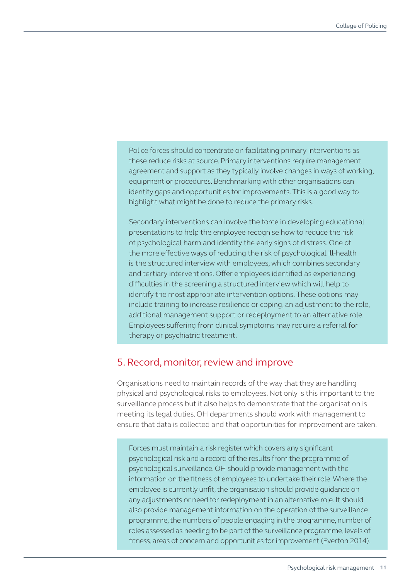Police forces should concentrate on facilitating primary interventions as these reduce risks at source. Primary interventions require management agreement and support as they typically involve changes in ways of working, equipment or procedures. Benchmarking with other organisations can identify gaps and opportunities for improvements. This is a good way to highlight what might be done to reduce the primary risks.

Secondary interventions can involve the force in developing educational presentations to help the employee recognise how to reduce the risk of psychological harm and identify the early signs of distress. One of the more effective ways of reducing the risk of psychological ill-health is the structured interview with employees, which combines secondary and tertiary interventions. Offer employees identified as experiencing difficulties in the screening a structured interview which will help to identify the most appropriate intervention options. These options may include training to increase resilience or coping, an adjustment to the role, additional management support or redeployment to an alternative role. Employees suffering from clinical symptoms may require a referral for therapy or psychiatric treatment.

#### 5. Record, monitor, review and improve

Organisations need to maintain records of the way that they are handling physical and psychological risks to employees. Not only is this important to the surveillance process but it also helps to demonstrate that the organisation is meeting its legal duties. OH departments should work with management to ensure that data is collected and that opportunities for improvement are taken.

Forces must maintain a risk register which covers any significant psychological risk and a record of the results from the programme of psychological surveillance. OH should provide management with the information on the fitness of employees to undertake their role. Where the employee is currently unfit, the organisation should provide guidance on any adjustments or need for redeployment in an alternative role. It should also provide management information on the operation of the surveillance programme, the numbers of people engaging in the programme, number of roles assessed as needing to be part of the surveillance programme, levels of fitness, areas of concern and opportunities for improvement (Everton 2014).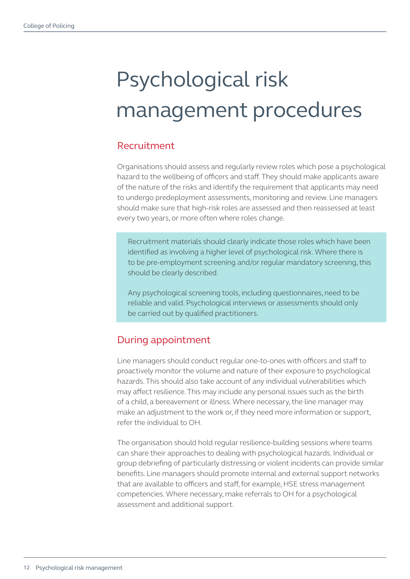# Psychological risk management procedures

### Recruitment

Organisations should assess and regularly review roles which pose a psychological hazard to the wellbeing of officers and staff. They should make applicants aware of the nature of the risks and identify the requirement that applicants may need to undergo predeployment assessments, monitoring and review. Line managers should make sure that high-risk roles are assessed and then reassessed at least every two years, or more often where roles change.

Recruitment materials should clearly indicate those roles which have been identified as involving a higher level of psychological risk. Where there is to be pre-employment screening and/or regular mandatory screening, this should be clearly described.

Any psychological screening tools, including questionnaires, need to be reliable and valid. Psychological interviews or assessments should only be carried out by qualified practitioners.

# During appointment

Line managers should conduct regular one-to-ones with officers and staff to proactively monitor the volume and nature of their exposure to psychological hazards. This should also take account of any individual vulnerabilities which may affect resilience. This may include any personal issues such as the birth of a child, a bereavement or illness. Where necessary, the line manager may make an adjustment to the work or, if they need more information or support, refer the individual to OH.

The organisation should hold regular resilience-building sessions where teams can share their approaches to dealing with psychological hazards. Individual or group debriefing of particularly distressing or violent incidents can provide similar benefits. Line managers should promote internal and external support networks that are available to officers and staff, for example, HSE stress management competencies. Where necessary, make referrals to OH for a psychological assessment and additional support.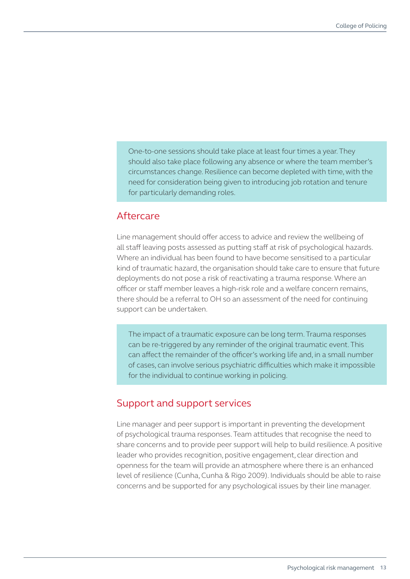<span id="page-14-0"></span>One-to-one sessions should take place at least four times a year. They should also take place following any absence or where the team member's circumstances change. Resilience can become depleted with time, with the need for consideration being given to introducing job rotation and tenure for particularly demanding roles.

#### Aftercare

Line management should offer access to advice and review the wellbeing of all staff leaving posts assessed as putting staff at risk of psychological hazards. Where an individual has been found to have become sensitised to a particular kind of traumatic hazard, the organisation should take care to ensure that future deployments do not pose a risk of reactivating a trauma response. Where an officer or staff member leaves a high-risk role and a welfare concern remains, there should be a referral to OH so an assessment of the need for continuing support can be undertaken.

The impact of a traumatic exposure can be long term. Trauma responses can be re-triggered by any reminder of the original traumatic event. This can affect the remainder of the officer's working life and, in a small number of cases, can involve serious psychiatric difficulties which make it impossible for the individual to continue working in policing.

### Support and support services

Line manager and peer support is important in preventing the development of psychological trauma responses. Team attitudes that recognise the need to share concerns and to provide peer support will help to build resilience. A positive leader who provides recognition, positive engagement, clear direction and openness for the team will provide an atmosphere where there is an enhanced level of resilience (Cunha, Cunha & Rigo 2009). Individuals should be able to raise concerns and be supported for any psychological issues by their line manager.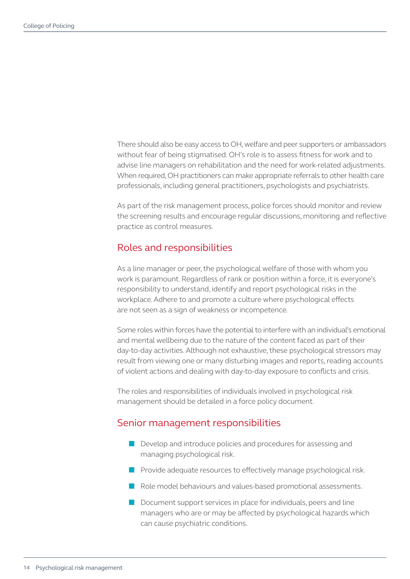There should also be easy access to OH, welfare and peer supporters or ambassadors without fear of being stigmatised. OH's role is to assess fitness for work and to advise line managers on rehabilitation and the need for work-related adjustments. When required, OH practitioners can make appropriate referrals to other health care professionals, including general practitioners, psychologists and psychiatrists.

As part of the risk management process, police forces should monitor and review the screening results and encourage regular discussions, monitoring and reflective practice as control measures.

### Roles and responsibilities

As a line manager or peer, the psychological welfare of those with whom you work is paramount. Regardless of rank or position within a force, it is everyone's responsibility to understand, identify and report psychological risks in the workplace. Adhere to and promote a culture where psychological effects are not seen as a sign of weakness or incompetence.

Some roles within forces have the potential to interfere with an individual's emotional and mental wellbeing due to the nature of the content faced as part of their day-to-day activities. Although not exhaustive, these psychological stressors may result from viewing one or many disturbing images and reports, reading accounts of violent actions and dealing with day-to-day exposure to conflicts and crisis.

The roles and responsibilities of individuals involved in psychological risk management should be detailed in a force policy document.

#### Senior management responsibilities

- Develop and introduce policies and procedures for assessing and managing psychological risk.
- Provide adequate resources to effectively manage psychological risk.
- Role model behaviours and values-based promotional assessments.
- Document support services in place for individuals, peers and line managers who are or may be affected by psychological hazards which can cause psychiatric conditions.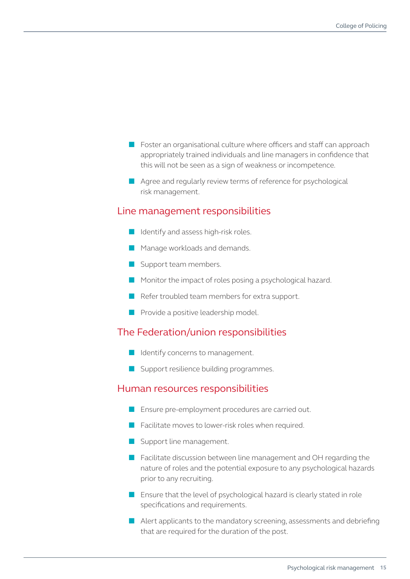- Foster an organisational culture where officers and staff can approach appropriately trained individuals and line managers in confidence that this will not be seen as a sign of weakness or incompetence.
- Agree and regularly review terms of reference for psychological risk management.

#### Line management responsibilities

- Identify and assess high-risk roles.
- Manage workloads and demands.
- Support team members.
- Monitor the impact of roles posing a psychological hazard.
- Refer troubled team members for extra support.
- Provide a positive leadership model.

#### The Federation/union responsibilities

- Identify concerns to management.
- Support resilience building programmes.

#### Human resources responsibilities

- Ensure pre-employment procedures are carried out.
- Facilitate moves to lower-risk roles when required.
- Support line management.
- Facilitate discussion between line management and OH regarding the nature of roles and the potential exposure to any psychological hazards prior to any recruiting.
- Ensure that the level of psychological hazard is clearly stated in role specifications and requirements.
- Alert applicants to the mandatory screening, assessments and debriefing that are required for the duration of the post.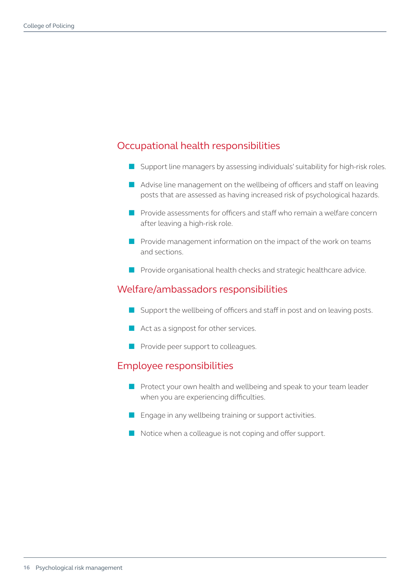### Occupational health responsibilities

- Support line managers by assessing individuals' suitability for high-risk roles.
- Advise line management on the wellbeing of officers and staff on leaving posts that are assessed as having increased risk of psychological hazards.
- Provide assessments for officers and staff who remain a welfare concern after leaving a high-risk role.
- Provide management information on the impact of the work on teams and sections.
- Provide organisational health checks and strategic healthcare advice.

#### Welfare/ambassadors responsibilities

- Support the wellbeing of officers and staff in post and on leaving posts.
- Act as a signpost for other services.
- Provide peer support to colleagues.

### Employee responsibilities

- Protect your own health and wellbeing and speak to your team leader when you are experiencing difficulties.
- Engage in any wellbeing training or support activities.
- Notice when a colleague is not coping and offer support.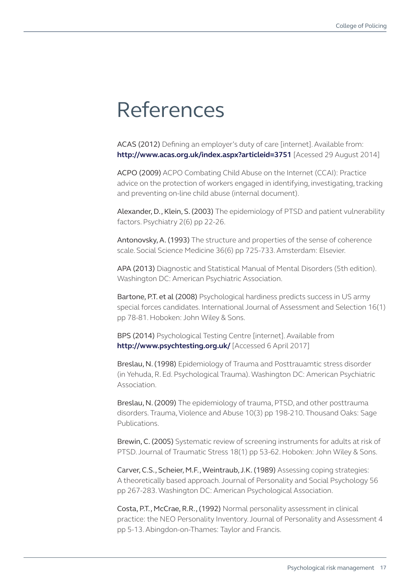# References

ACAS (2012) Defining an employer's duty of care [internet]. Available from: **<http://www.acas.org.uk/index.aspx?articleid=3751>** [Acessed 29 August 2014]

ACPO (2009) ACPO Combating Child Abuse on the Internet (CCAI): Practice advice on the protection of workers engaged in identifying, investigating, tracking and preventing on-line child abuse (internal document).

Alexander, D., Klein, S. (2003) The epidemiology of PTSD and patient vulnerability factors. Psychiatry 2(6) pp 22-26.

Antonovsky, A. (1993) The structure and properties of the sense of coherence scale. Social Science Medicine 36(6) pp 725-733. Amsterdam: Elsevier.

APA (2013) Diagnostic and Statistical Manual of Mental Disorders (5th edition). Washington DC: American Psychiatric Association.

Bartone, P.T. et al (2008) Psychological hardiness predicts success in US army special forces candidates. International Journal of Assessment and Selection 16(1) pp 78-81. Hoboken: John Wiley & Sons.

BPS (2014) Psychological Testing Centre [internet]. Available from **<http://www.psychtesting.org.uk/>** [Accessed 6 April 2017]

Breslau, N. (1998) Epidemiology of Trauma and Posttrauamtic stress disorder (in Yehuda, R. Ed. Psychological Trauma). Washington DC: American Psychiatric Association.

Breslau, N. (2009) The epidemiology of trauma, PTSD, and other posttrauma disorders. Trauma, Violence and Abuse 10(3) pp 198-210. Thousand Oaks: Sage Publications.

Brewin, C. (2005) Systematic review of screening instruments for adults at risk of PTSD. Journal of Traumatic Stress 18(1) pp 53-62. Hoboken: John Wiley & Sons.

Carver, C.S., Scheier, M.F., Weintraub, J.K. (1989) Assessing coping strategies: A theoretically based approach. Journal of Personality and Social Psychology 56 pp 267-283. Washington DC: American Psychological Association.

Costa, P.T., McCrae, R.R., (1992) Normal personality assessment in clinical practice: the NEO Personality Inventory. Journal of Personality and Assessment 4 pp 5-13. Abingdon-on-Thames: Taylor and Francis.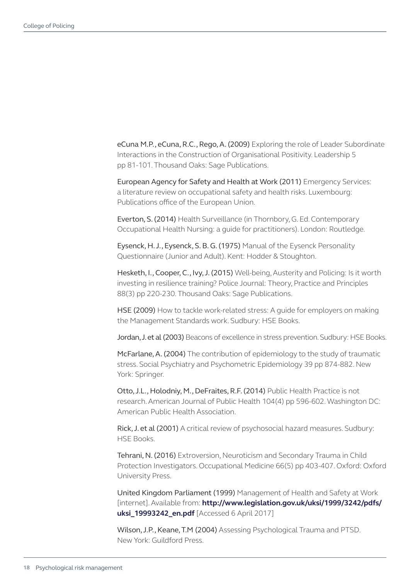<span id="page-19-0"></span>eCuna M.P., eCuna, R.C., Rego, A. (2009) Exploring the role of Leader Subordinate Interactions in the Construction of Organisational Positivity. Leadership 5 pp 81-101. Thousand Oaks: Sage Publications.

European Agency for Safety and Health at Work (2011) Emergency Services: a literature review on occupational safety and health risks. Luxembourg: Publications office of the European Union.

Everton, S. (2014) Health Surveillance (in Thornbory, G. Ed. Contemporary Occupational Health Nursing: a guide for practitioners). London: Routledge.

Eysenck, H. J., Eysenck, S. B. G. (1975) Manual of the Eysenck Personality Questionnaire (Junior and Adult). Kent: Hodder & Stoughton.

Hesketh, I., Cooper, C., Ivy, J. (2015) Well-being, Austerity and Policing: Is it worth investing in resilience training? Police Journal: Theory, Practice and Principles 88(3) pp 220-230. Thousand Oaks: Sage Publications.

HSE (2009) How to tackle work-related stress: A guide for employers on making the Management Standards work. Sudbury: HSE Books.

Jordan, J. et al (2003) Beacons of excellence in stress prevention. Sudbury: HSE Books.

McFarlane, A. (2004) The contribution of epidemiology to the study of traumatic stress. Social Psychiatry and Psychometric Epidemiology 39 pp 874-882. New York: Springer.

Otto, J.L., Holodniy, M., DeFraites, R.F. (2014) Public Health Practice is not research. American Journal of Public Health 104(4) pp 596-602. Washington DC: American Public Health Association.

Rick, J. et al (2001) A critical review of psychosocial hazard measures. Sudbury: HSE Books.

Tehrani, N. (2016) Extroversion, Neuroticism and Secondary Trauma in Child Protection Investigators. Occupational Medicine 66(5) pp 403-407. Oxford: Oxford University Press.

United Kingdom Parliament (1999) Management of Health and Safety at Work [internet]. Available from: **[http://www.legislation.gov.uk/uksi/1999/3242/pdfs/](http://www.legislation.gov.uk/uksi/1999/3242/pdfs/uksi_19993242_en.pdf) [uksi\\_19993242\\_en.pdf](http://www.legislation.gov.uk/uksi/1999/3242/pdfs/uksi_19993242_en.pdf)** [Accessed 6 April 2017]

Wilson, J.P., Keane, T.M (2004) Assessing Psychological Trauma and PTSD. New York: Guildford Press.